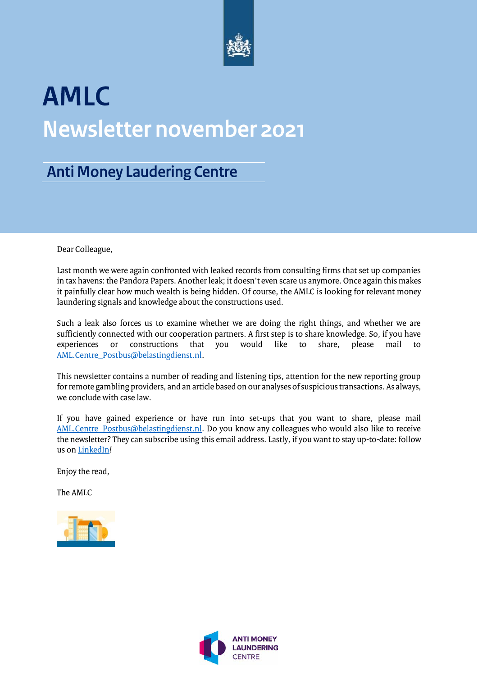

# **AMLC Newsletter november 2021**

### **Anti Money Laudering Centre**

Dear Colleague,

Last month we were again confronted with leaked records from consulting firms that set up companies in tax havens: the Pandora Papers. Another leak; it doesn't even scare us anymore. Once again this makes it painfully clear how much wealth is being hidden. Of course, the AMLC is looking for relevant money laundering signals and knowledge about the constructions used.

Such a leak also forces us to examine whether we are doing the right things, and whether we are sufficiently connected with our cooperation partners. A first step is to share knowledge. So, if you have experiences or constructions that you would like to share, please mail to or constructions that you would like to share, please mail to [AML.Centre\\_Postbus@belastingdienst.nl.](mailto:AML.Centre_Postbus@belastingdienst.nl)

This newsletter contains a number of reading and listening tips, attention for the new reporting group for remote gambling providers, and an article based on our analyses of suspicious transactions. As always, we conclude with case law.

If you have gained experience or have run into set-ups that you want to share, please mail [AML.Centre\\_Postbus@belastingdienst.nl.](mailto:AML.Centre_Postbus@belastingdienst.nl) Do you know any colleagues who would also like to receive the newsletter? They can subscribe using this email address. Lastly, if you want to stay up-to-date: follow us o[n LinkedIn!](https://nl.linkedin.com/company/amlc)

Enjoy the read,

The AMLC



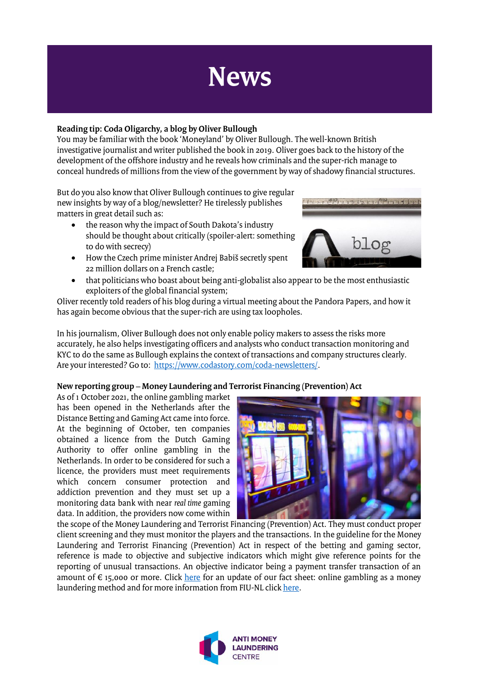## **News**

#### **Reading tip: Coda Oligarchy, a blog by Oliver Bullough**

You may be familiar with the book 'Moneyland' by Oliver Bullough. The well-known British investigative journalist and writer published the book in 2019. Oliver goes back to the history of the development of the offshore industry and he reveals how criminals and the super-rich manage to conceal hundreds of millions from the view of the government by way of shadowy financial structures.

But do you also know that Oliver Bullough continues to give regular new insights by way of a blog/newsletter? He tirelessly publishes matters in great detail such as:

- the reason why the impact of South Dakota's industry should be thought about critically (spoiler-alert: something to do with secrecy)
- How the Czech prime minister Andrej Babiš secretly spent 22 million dollars on a French castle;
- that politicians who boast about being anti-globalist also appear to be the most enthusiastic exploiters of the global financial system;

Oliver recently told readers of his blog during a virtual meeting about the Pandora Papers, and how it has again become obvious that the super-rich are using tax loopholes.

In his journalism, Oliver Bullough does not only enable policy makers to assess the risks more accurately, he also helps investigating officers and analysts who conduct transaction monitoring and KYC to do the same as Bullough explains the context of transactions and company structures clearly. Are your interested? Go to: [https://www.codastory.com/coda-newsletters/.](https://www.codastory.com/coda-newsletters/)

#### **New reporting group – Money Laundering and Terrorist Financing (Prevention) Act**

As of 1 October 2021, the online gambling market has been opened in the Netherlands after the Distance Betting and Gaming Act came into force. At the beginning of October, ten companies obtained a licence from the Dutch Gaming Authority to offer online gambling in the Netherlands. In order to be considered for such a licence, the providers must meet requirements which concern consumer protection and addiction prevention and they must set up a monitoring data bank with near *real time* gaming data. In addition, the providers now come within



the scope of the Money Laundering and Terrorist Financing (Prevention) Act. They must conduct proper client screening and they must monitor the players and the transactions. In the guideline for the Money Laundering and Terrorist Financing (Prevention) Act in respect of the betting and gaming sector, reference is made to objective and subjective indicators which might give reference points for the reporting of unusual transactions. An objective indicator being a payment transfer transaction of an amount of  $\epsilon$  15,000 or more. Click [here](https://www.amlc.nl/online-gokken-als-witwasmethodiek/) for an update of our fact sheet: online gambling as a money laundering method and for more information from FIU-NL clic[k here.](https://www.fiu-nederland.nl/nl/nieuwe-meldergroep-onder-de-wwft)



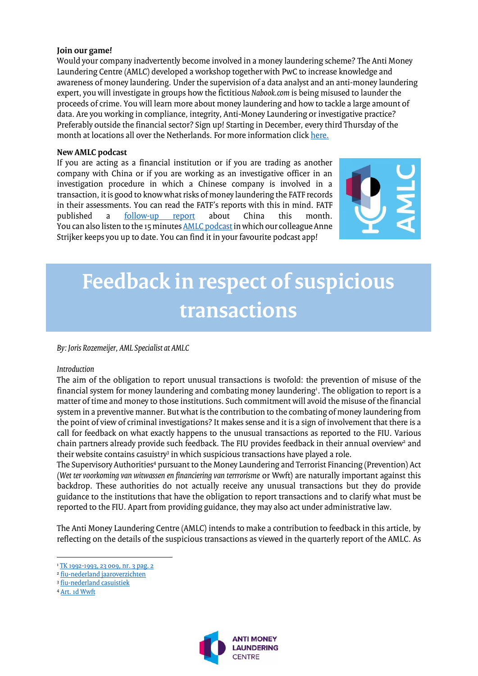#### **Join our game!**

Would your company inadvertently become involved in a money laundering scheme? The Anti Money Laundering Centre (AMLC) developed a workshop together with PwC to increase knowledge and awareness of money laundering. Under the supervision of a data analyst and an anti-money laundering expert, you will investigate in groups how the fictitious *Nabook.com* is being misused to launder the proceeds of crime. You will learn more about money laundering and how to tackle a large amount of data. Are you working in compliance, integrity, Anti-Money Laundering or investigative practice? Preferably outside the financial sector? Sign up! Starting in December, every third Thursday of the month at locations all over the Netherlands. For more information click [here.](https://www.pwc.nl/nl/dienstverlening/forensic-services/anti-witwasworkshop.html)

#### **New AMLC podcast**

If you are acting as a financial institution or if you are trading as another company with China or if you are working as an investigative officer in an investigation procedure in which a Chinese company is involved in a transaction, it is good to know what risks of money laundering the FATF records in their assessments. You can read the FATF's reports with this in mind. FATF<br>published a follow-up report about China this month. published a <u>[follow-up report](http://www.fatf-gafi.org/publications/mutualevaluations/documents/fur-china-2021.html)</u> about China this month. You can also listen to the 15 minutes <u>AMLC podcast</u> in which our colleague Anne Strijker keeps you up to date. You can find it in your favourite podcast app!



### **Feedback in respect of suspicious transactions**

#### *By: Joris Rozemeijer, AML Specialist at AMLC*

#### *Introduction*

The aim of the obligation to report unusual transactions is twofold: the prevention of misuse of the financial system for money laundering and combating money laundering<sup>1</sup>. The obligation to report is a matter of time and money to those institutions. Such commitment will avoid the misuse of the financial system in a preventive manner. But what is the contribution to the combating of money laundering from the point of view of criminal investigations? It makes sense and it is a sign of involvement that there is a call for feedback on what exactly happens to the unusual transactions as reported to the FIU. Various chain partners already provide such feedback. The FIU provides feedback in their annual overview<sup>2</sup> and their website contains casuistry<sup>3</sup> in which suspicious transactions have played a role.

The Supervisory Authorities<sup>4</sup> pursuant to the Money Laundering and Terrorist Financing (Prevention) Act (*Wet ter voorkoming van witwassen en financiering van terrrorisme* or Wwft) are naturally important against this backdrop. These authorities do not actually receive any unusual transactions but they do provide guidance to the institutions that have the obligation to report transactions and to clarify what must be reported to the FIU. Apart from providing guidance, they may also act under administrative law.

The Anti Money Laundering Centre (AMLC) intends to make a contribution to feedback in this article, by reflecting on the details of the suspicious transactions as viewed in the quarterly report of the AMLC. As

l



<sup>&</sup>lt;sup>1</sup> [TK 1992-1993, 23 009, nr. 3 pag. 2](https://repository.overheid.nl/frbr/sgd/19921993/0000017070/1/pdf/SGD_19921993_0006525.pdf)

<sup>&</sup>lt;u>2 [fiu-nederland jaaroverzichten](https://www.fiu-nederland.nl/nl/over-fiu/jaaroverzichten)</u>

<sup>&</sup>lt;sup>3</sup> <u>[fiu-nederland casuistiek](https://www.fiu-nederland.nl/nl/wetgeving/casuistiek)</u>

<sup>4</sup> [Art. 1d Wwft](https://wetten.overheid.nl/jci1.3:c:BWBR0024282&hoofdstuk=1¶graaf=1.1&artikel=1d&z=2021-07-01&g=2021-07-01)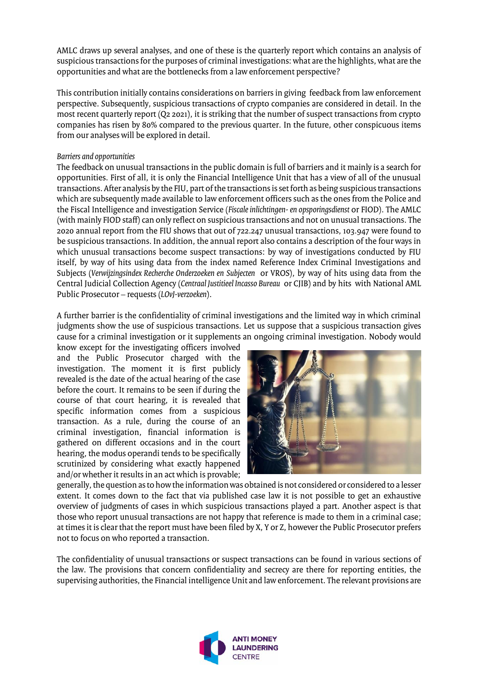AMLC draws up several analyses, and one of these is the quarterly report which contains an analysis of suspicioustransactions for the purposes of criminal investigations: what are the highlights, what are the opportunities and what are the bottlenecks from a law enforcement perspective?

This contribution initially contains considerations on barriers in giving feedback from law enforcement perspective. Subsequently, suspicious transactions of crypto companies are considered in detail. In the most recent quarterly report (Q2 2021), it is striking that the number of suspect transactions from crypto companies has risen by 80% compared to the previous quarter. In the future, other conspicuous items from our analyses will be explored in detail.

#### *Barriers and opportunities*

The feedback on unusual transactions in the public domain is full of barriers and it mainly is a search for opportunities. First of all, it is only the Financial Intelligence Unit that has a view of all of the unusual transactions. After analysis by the FIU, part of the transactions isset forth as being suspicioustransactions which are subsequently made available to law enforcement officers such as the ones from the Police and the Fiscal Intelligence and investigation Service (*Fiscale inlichtingen- en opsporingsdienst* or FIOD). The AMLC (with mainly FIOD staff) can only reflect on suspicious transactions and not on unusual transactions. The 2020 annual report from the FIU shows that out of 722.247 unusual transactions, 103.947 were found to be suspicious transactions. In addition, the annual report also contains a description of the four ways in which unusual transactions become suspect transactions: by way of investigations conducted by FIU itself, by way of hits using data from the index named Reference Index Criminal Investigations and Subjects (*Verwijzingsindex Recherche Onderzoeken en Subjecten* or VROS), by way of hits using data from the Central Judicial Collection Agency (*Centraal Justitieel Incasso Bureau* or CJIB) and by hits with National AML Public Prosecutor – requests (*LOvJ-verzoeken*).

A further barrier is the confidentiality of criminal investigations and the limited way in which criminal judgments show the use of suspicious transactions. Let us suppose that a suspicious transaction gives cause for a criminal investigation or it supplements an ongoing criminal investigation. Nobody would

know except for the investigating officers involved and the Public Prosecutor charged with the investigation. The moment it is first publicly revealed is the date of the actual hearing of the case before the court. It remains to be seen if during the course of that court hearing, it is revealed that specific information comes from a suspicious transaction. As a rule, during the course of an criminal investigation, financial information is gathered on different occasions and in the court hearing, the modus operandi tends to be specifically scrutinized by considering what exactly happened and/or whether it results in an act which is provable;



generally, the question as to how the information was obtained is not considered or considered to a lesser extent. It comes down to the fact that via published case law it is not possible to get an exhaustive overview of judgments of cases in which suspicious transactions played a part. Another aspect is that those who report unusual transactions are not happy that reference is made to them in a criminal case; at times it is clear that the report must have been filed by X, Y or Z, however the Public Prosecutor prefers not to focus on who reported a transaction.

The confidentiality of unusual transactions or suspect transactions can be found in various sections of the law. The provisions that concern confidentiality and secrecy are there for reporting entities, the supervising authorities, the Financial intelligence Unit and law enforcement. The relevant provisions are

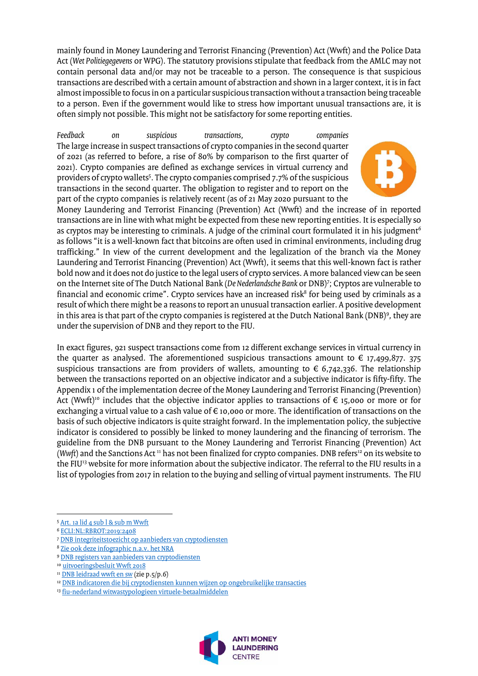mainly found in Money Laundering and Terrorist Financing (Prevention) Act (Wwft) and the Police Data Act (*Wet Politiegegevens* or WPG). The statutory provisions stipulate that feedback from the AMLC may not contain personal data and/or may not be traceable to a person. The consequence is that suspicious transactions are described with a certain amount of abstraction and shown in a larger context, it is in fact almost impossible to focus in on a particular suspicious transaction without a transaction being traceable to a person. Even if the government would like to stress how important unusual transactions are, it is often simply not possible. This might not be satisfactory for some reporting entities.

*Feedback on suspicious transactions, crypto companies* The large increase in suspect transactions of crypto companies in the second quarter of 2021 (as referred to before, a rise of 80% by comparison to the first quarter of 2021). Crypto companies are defined as exchange services in virtual currency and providers of crypto wallets<sup>5</sup>. The crypto companies comprised 7.7% of the suspicious transactions in the second quarter. The obligation to register and to report on the part of the crypto companies is relatively recent (as of 21 May 2020 pursuant to the



Money Laundering and Terrorist Financing (Prevention) Act (Wwft) and the increase of in reported transactions are in line with what might be expected from these new reporting entities. It is especially so as cryptos may be interesting to criminals. A judge of the criminal court formulated it in his judgment<sup>6</sup>  $\overline{a}$ as follows "it is a well-known fact that bitcoins are often used in criminal environments, including drug trafficking." In view of the current development and the legalization of the branch via the Money Laundering and Terrorist Financing (Prevention) Act (Wwft), it seems that this well-known fact is rather bold now and it does not do justice to the legal users of crypto services. A more balanced view can be seen on the Internet site of The Dutch National Bank (*De Nederlandsche Bank* or DNB)<sup>7</sup> ; Cryptos are vulnerable to financial and economic crime". Crypto services have an increased risk $^{\rm 8}$  for being used by criminals as a result of which there might be a reasons to report an unusual transaction earlier. A positive development in this area is that part of the crypto companies is registered at the Dutch National Bank (DNB)°, they are under the supervision of DNB and they report to the FIU.

In exact figures, 921 suspect transactions come from 12 different exchange services in virtual currency in the quarter as analysed. The aforementioned suspicious transactions amount to  $\epsilon$  17,499,877. 375 suspicious transactions are from providers of wallets, amounting to  $\epsilon$  6,742,336. The relationship between the transactions reported on an objective indicator and a subjective indicator is fifty-fifty. The Appendix 1 of the implementation decree of the Money Laundering and Terrorist Financing (Prevention) Act (Wwft)<sup>10</sup> includes that the objective indicator applies to transactions of  $\epsilon$  15,000 or more or for exchanging a virtual value to a cash value of € 10,000 or more. The identification of transactions on the basis of such objective indicators is quite straight forward. In the implementation policy, the subjective indicator is considered to possibly be linked to money laundering and the financing of terrorism. The guideline from the DNB pursuant to the Money Laundering and Terrorist Financing (Prevention) Act (*Wwft*) and the Sanctions Act<sup>11</sup> has not been finalized for crypto companies. DNB refers<sup>12</sup> on its website to the FIU<sup>13</sup> website for more information about the subjective indicator. The referral to the FIU results in a list of typologies from 2017 in relation to the buying and selling of virtual payment instruments. The FIU

<sup>&</sup>lt;sup>13</sup> fiu-nederland [witwastypologieen virtuele-betaalmiddelen](https://www.fiu-nederland.nl/nl/wetgeving/witwastypologieen/virtuele-betaalmiddelen)



 $\overline{a}$ <sup>5</sup> [Art. 1a lid 4 sub l & sub m Wwft](https://wetten.overheid.nl/jci1.3:c:BWBR0024282&hoofdstuk=1¶graaf=1.1&artikel=1a&z=2021-07-01&g=2021-07-01)

<sup>6</sup> [ECLI:NL:RBROT:2019:2408](http://deeplink.rechtspraak.nl/uitspraak?id=ECLI:NL:RBROT:2019:2408)

<sup>7</sup> [DNB integriteitstoezicht op aanbieders van cryptodiensten](https://www.dnb.nl/voor-de-sector/open-boek-toezicht-sectoren/aanbieders-cryptodiensten/integriteitstoezicht-op-aanbieders-van-cryptodiensten/)

<sup>8</sup> Zie ook [deze infographic n.a.v. het NRA](https://www.bureauft.nl/wp-content/uploads/2020/07/20200703_NRA_Witwassen.pdf)

<sup>9</sup> DNB registers van aanbieders van [cryptodiensten](https://www.dnb.nl/openbaar-register/registers-van-aanbieders-van-cryptodiensten/)

<sup>&</sup>lt;sup>10</sup> [uitvoeringsbesluit Wwft 2018](https://wetten.overheid.nl/BWBR0041193/2021-04-01)

<sup>&</sup>lt;sup>11</sup> [DNB leidraad](https://www.dnb.nl/media/dzicty20/dnb-leidraad-wwft-en-sw.pdf) wwft en sw (zie p.5/p.6)

<sup>&</sup>lt;sup>12</sup> [DNB indicatoren die](https://www.dnb.nl/voor-de-sector/open-boek-toezicht-sectoren/aanbieders-cryptodiensten/integriteitstoezicht-op-aanbieders-van-cryptodiensten/wwft-crypto/transactiemonitoring/indicatoren-die-bij-cryptodiensten-kunnen-wijzen-op-ongebruikelijke-transacties/) bij cryptodiensten kunnen wijzen op ongebruikelijke transacties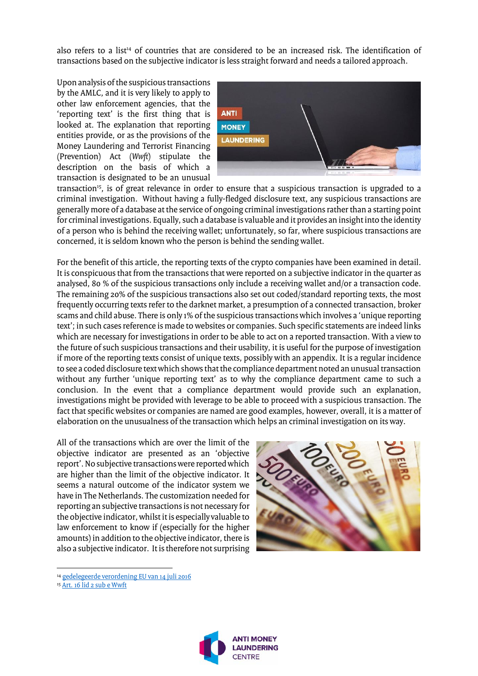also refers to a list<sup>14</sup> of countries that are considered to be an increased risk. The identification of transactions based on the subjective indicator is less straight forward and needs a tailored approach.

Upon analysis of the suspicious transactions by the AMLC, and it is very likely to apply to other law enforcement agencies, that the 'reporting text' is the first thing that is looked at. The explanation that reporting entities provide, or as the provisions of the Money Laundering and Terrorist Financing (Prevention) Act (*Wwft*) stipulate the description on the basis of which a transaction is designated to be an unusual



transaction<sup>15</sup>, is of great relevance in order to ensure that a suspicious transaction is upgraded to a criminal investigation. Without having a fully-fledged disclosure text, any suspicious transactions are generally more of a database at the service of ongoing criminal investigations rather than a starting point for criminal investigations. Equally, such a database is valuable and it provides an insight into the identity of a person who is behind the receiving wallet; unfortunately, so far, where suspicious transactions are concerned, it is seldom known who the person is behind the sending wallet.

For the benefit of this article, the reporting texts of the crypto companies have been examined in detail. It is conspicuous that from the transactions that were reported on a subjective indicator in the quarter as analysed, 80 % of the suspicious transactions only include a receiving wallet and/or a transaction code. The remaining 20% of the suspicious transactions also set out coded/standard reporting texts, the most frequently occurring texts refer to the darknet market, a presumption of a connected transaction, broker scams and child abuse. There is only 1% of the suspicious transactions which involves a 'unique reporting text'; in such cases reference is made to websites or companies. Such specific statements are indeed links which are necessary for investigations in order to be able to act on a reported transaction. With a view to the future of such suspicious transactions and their usability, it is useful for the purpose of investigation if more of the reporting texts consist of unique texts, possibly with an appendix. It is a regular incidence to see a coded disclosure text which shows that the compliance department noted an unusual transaction without any further 'unique reporting text' as to why the compliance department came to such a conclusion. In the event that a compliance department would provide such an explanation, investigations might be provided with leverage to be able to proceed with a suspicious transaction. The fact that specific websites or companies are named are good examples, however, overall, it is a matter of elaboration on the unusualness of the transaction which helps an criminal investigation on its way.

All of the transactions which are over the limit of the objective indicator are presented as an 'objective report'.No subjective transactions were reported which are higher than the limit of the objective indicator. It seems a natural outcome of the indicator system we have in The Netherlands. The customization needed for reporting an subjective transactions is not necessary for the objective indicator,whilst it is especially valuable to law enforcement to know if (especially for the higher amounts) in addition to the objective indicator, there is also a subjective indicator. It is therefore not surprising



 $\overline{\phantom{a}}$ 



<sup>14</sup> [gedelegeerde verordening EU van 14 juli 2016](https://eur-lex.europa.eu/legal-content/NL/TXT/PDF/?uri=CELEX:02016R1675-20201001&from=EN)

<sup>15</sup> [Art. 16 lid 2 sub e Wwft](https://wetten.overheid.nl/jci1.3:c:BWBR0024282&hoofdstuk=3¶graaf=3.2&artikel=16&z=2021-07-01&g=2021-07-01)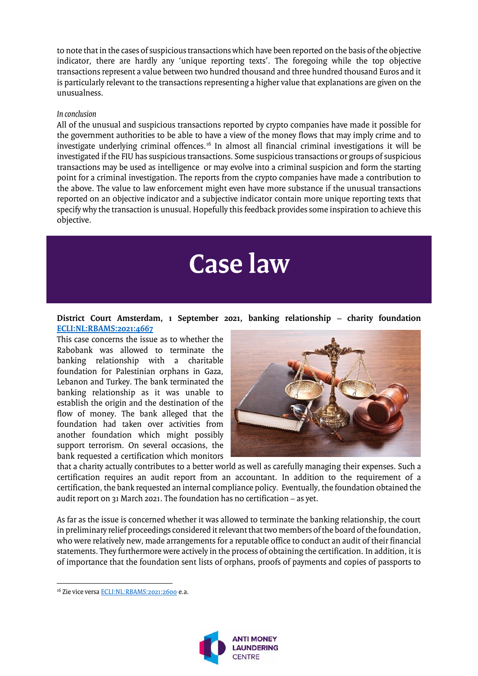to note that in the cases of suspicious transactions which have been reported on the basis of the objective indicator, there are hardly any 'unique reporting texts'. The foregoing while the top objective transactions represent a value between two hundred thousand and three hundred thousand Euros and it is particularly relevant to the transactions representing a higher value that explanations are given on the unusualness.

#### *In conclusion*

All of the unusual and suspicious transactions reported by crypto companies have made it possible for the government authorities to be able to have a view of the money flows that may imply crime and to investigate underlying criminal offences.<sup>16</sup> In almost all financial criminal investigations it will be investigated if the FIU has suspicious transactions. Some suspicious transactions or groups of suspicious transactions may be used as intelligence or may evolve into a criminal suspicion and form the starting point for a criminal investigation. The reports from the crypto companies have made a contribution to the above. The value to law enforcement might even have more substance if the unusual transactions reported on an objective indicator and a subjective indicator contain more unique reporting texts that specify why the transaction is unusual. Hopefully this feedback provides some inspiration to achieve this objective.

## **Case law**

#### **District Court Amsterdam, 1 September 2021, banking relationship – charity foundation [ECLI:NL:RBAMS:2021:4667](https://uitspraken.rechtspraak.nl/inziendocument?id=ECLI:NL:RBAMS:2021:4667&showbutton=true&keyword=ECLI%3aNL%3aRBAMS%3a2021%3a4667)**

This case concerns the issue as to whether the Rabobank was allowed to terminate the banking relationship with a charitable foundation for Palestinian orphans in Gaza, Lebanon and Turkey. The bank terminated the banking relationship as it was unable to establish the origin and the destination of the flow of money. The bank alleged that the foundation had taken over activities from another foundation which might possibly support terrorism. On several occasions, the bank requested a certification which monitors



that a charity actually contributes to a better world as well as carefully managing their expenses. Such a certification requires an audit report from an accountant. In addition to the requirement of a certification, the bank requested an internal compliance policy. Eventually, the foundation obtained the audit report on 31 March 2021. The foundation has no certification – as yet.

As far as the issue is concerned whether it was allowed to terminate the banking relationship, the court in preliminary relief proceedings considered it relevant that two members of the board of the foundation, who were relatively new, made arrangements for a reputable office to conduct an audit of their financial statements. They furthermore were actively in the process of obtaining the certification. In addition, it is of importance that the foundation sent lists of orphans, proofs of payments and copies of passports to

 $\overline{\phantom{a}}$ 



<sup>&</sup>lt;sup>16</sup> Zie vice versa [ECLI:NL:RBAMS:2021:2600](http://deeplink.rechtspraak.nl/uitspraak?id=ECLI:NL:RBAMS:2021:2600) e.a.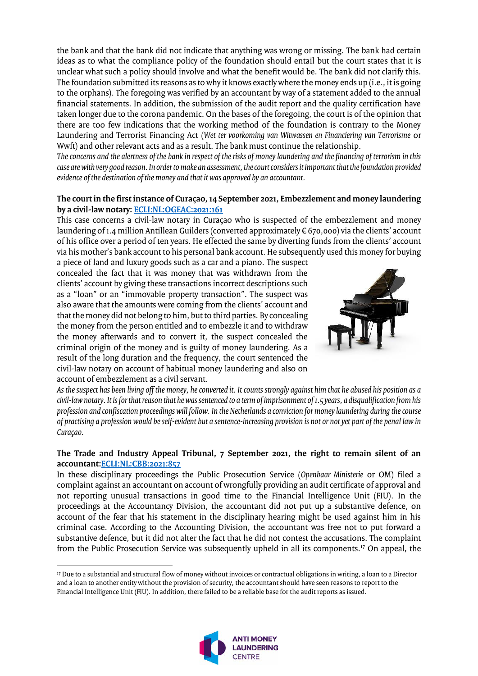the bank and that the bank did not indicate that anything was wrong or missing. The bank had certain ideas as to what the compliance policy of the foundation should entail but the court states that it is unclear what such a policy should involve and what the benefit would be. The bank did not clarify this. The foundation submitted its reasons as to why it knows exactly where the money ends up (i.e., it is going to the orphans). The foregoing was verified by an accountant by way of a statement added to the annual financial statements. In addition, the submission of the audit report and the quality certification have taken longer due to the corona pandemic. On the bases of the foregoing, the court is of the opinion that there are too few indications that the working method of the foundation is contrary to the Money Laundering and Terrorist Financing Act (*Wet ter voorkoming van Witwassen en Financiering van Terrorisme* or Wwft) and other relevant acts and as a result. The bank must continue the relationship.

*The concerns and the alertness of the bank in respect of the risks of money laundering and the financing of terrorism in this case are with very good reason. In order to make an assessment, the court considers it important that the foundation provided evidence of the destination of the money and that it was approved by an accountant.*

#### **The court in the first instance of Curaçao, 14 September 2021, Embezzlement and money laundering by a civil-law notary: [ECLI:NL:OGEAC:2021:161](https://uitspraken.rechtspraak.nl/inziendocument?id=ECLI:NL:OGEAC:2021:161&showbutton=true&keyword=ECLI%3aNL%3aOGEAC%3a2021%3a161+)**

This case concerns a civil-law notary in Curaçao who is suspected of the embezzlement and money laundering of 1.4 million Antillean Guilders (converted approximately € 670,000) via the clients' account of his office over a period of ten years. He effected the same by diverting funds from the clients' account via his mother's bank account to his personal bank account. He subsequently used this money for buying

a piece of land and luxury goods such as a car and a piano. The suspect concealed the fact that it was money that was withdrawn from the clients' account by giving these transactions incorrect descriptions such as a "loan" or an "immovable property transaction". The suspect was also aware that the amounts were coming from the clients' account and that the money did not belong to him, but to third parties. By concealing the money from the person entitled and to embezzle it and to withdraw the money afterwards and to convert it, the suspect concealed the criminal origin of the money and is guilty of money laundering. As a result of the long duration and the frequency, the court sentenced the civil-law notary on account of habitual money laundering and also on account of embezzlement as a civil servant.

 $\overline{a}$ 



*As the suspect has been living off the money, he converted it. It counts strongly against him that he abused his position as a civil-law notary. It is for that reason that he was sentenced to a term of imprisonment of 1.5 years, a disqualification from his profession and confiscation proceedings will follow. In the Netherlands a conviction for money laundering during the course of practising a profession would be self-evident but a sentence-increasing provision is not or not yet part of the penal law in Curaçao.*

#### **The Trade and Industry Appeal Tribunal, 7 September 2021, the right to remain silent of an accountant[:ECLI:NL:CBB:2021:857](https://uitspraken.rechtspraak.nl/inziendocument?id=ECLI:NL:CBB:2021:857&showbutton=true&keyword=witwassen)**

In these disciplinary proceedings the Public Prosecution Service (*Openbaar Ministerie* or OM) filed a complaint against an accountant on account of wrongfully providing an audit certificate of approval and not reporting unusual transactions in good time to the Financial Intelligence Unit (FIU). In the proceedings at the Accountancy Division, the accountant did not put up a substantive defence, on account of the fear that his statement in the disciplinary hearing might be used against him in his criminal case. According to the Accounting Division, the accountant was free not to put forward a substantive defence, but it did not alter the fact that he did not contest the accusations. The complaint from the Public Prosecution Service was subsequently upheld in all its components.<sup>17</sup> On appeal, the

<sup>17</sup> Due to a substantial and structural flow of money without invoices or contractual obligations in writing, a loan to a Director and a loan to another entity without the provision of security, the accountant should have seen reasons to report to the Financial Intelligence Unit (FIU). In addition, there failed to be a reliable base for the audit reports as issued.

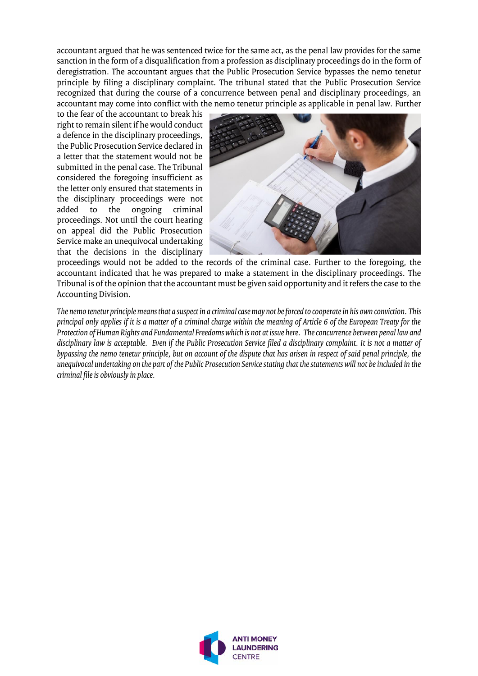accountant argued that he was sentenced twice for the same act, as the penal law provides for the same sanction in the form of a disqualification from a profession as disciplinary proceedings do in the form of deregistration. The accountant argues that the Public Prosecution Service bypasses the nemo tenetur principle by filing a disciplinary complaint. The tribunal stated that the Public Prosecution Service recognized that during the course of a concurrence between penal and disciplinary proceedings, an accountant may come into conflict with the nemo tenetur principle as applicable in penal law. Further

to the fear of the accountant to break his right to remain silent if he would conduct a defence in the disciplinary proceedings, the Public Prosecution Service declared in a letter that the statement would not be submitted in the penal case. The Tribunal considered the foregoing insufficient as the letter only ensured that statements in the disciplinary proceedings were not<br>added to the ongoing criminal ongoing criminal proceedings. Not until the court hearing on appeal did the Public Prosecution Service make an unequivocal undertaking that the decisions in the disciplinary



proceedings would not be added to the records of the criminal case. Further to the foregoing, the accountant indicated that he was prepared to make a statement in the disciplinary proceedings. The Tribunal is of the opinion that the accountant must be given said opportunity and it refers the case to the Accounting Division.

*The nemo tenetur principle means that a suspect in a criminal case may not be forced to cooperate in his own conviction. This principal only applies if it is a matter of a criminal charge within the meaning of Article 6 of the European Treaty for the Protection of Human Rights and Fundamental Freedoms which is not at issue here. The concurrence between penal law and disciplinary law is acceptable. Even if the Public Prosecution Service filed a disciplinary complaint. It is not a matter of bypassing the nemo tenetur principle, but on account of the dispute that has arisen in respect of said penal principle, the unequivocal undertaking on the part of the Public Prosecution Service stating that the statements will not be included in the criminal file is obviously in place.*